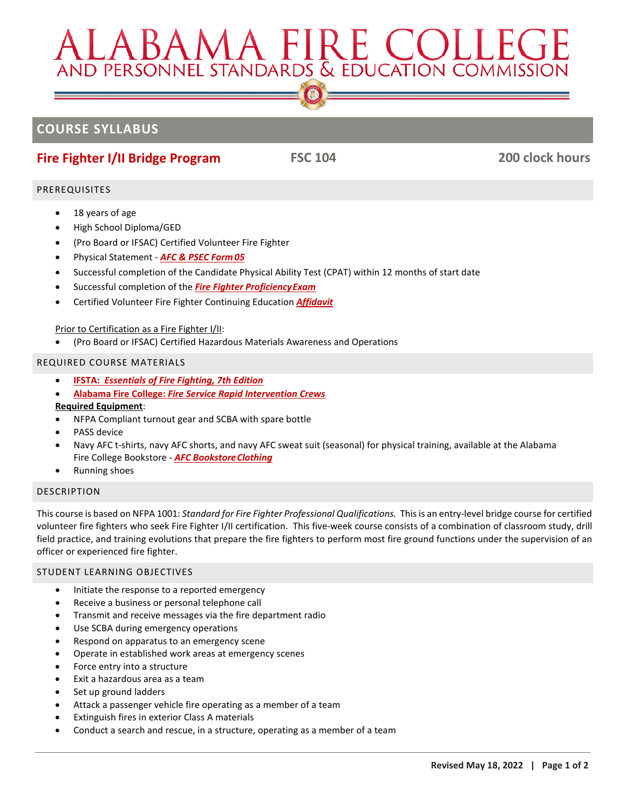# ALABAMA FIRE COLLEG<br>AND PERSONNEL STANDARDS & EDUCATION COMMISSIC

# **COURSE SYLLABUS**

# **Fire Fighter I/II Bridge Program FSC 104 200 clock hours**

# PREREQUISITES

- 18 years of age
- High School Diploma/GED
- (Pro Board or IFSAC) Certified Volunteer Fire Fighter
- Physical Statement *[AFC & PSEC Form](https://www.alabamafirecollege.org/wp-content/uploads/2020/04/physicalstatement.pdf) [05](https://www.alabamafirecollege.org/wp-content/uploads/2020/04/physicalstatement.pdf)*
- Successful completion of the Candidate Physical Ability Test (CPAT) within 12 months of start date
- Successful completion of the *[Fire Fighter ProficiencyExam](https://www.alabamafirecollege.org/wp-content/uploads/FF-Proficiency-Exam-Guidelines.pdf)*
- Certified Volunteer Fire Fighter Continuing Education *[Affidavit](https://www.alabamafirecollege.org/wp-content/uploads/2020/04/volunteer-creditable-service-affidavit.pdf)*

# Prior to Certification as a Fire Fighter I/II:

• (Pro Board or IFSAC) Certified Hazardous Materials Awareness and Operations

# REQUIRED COURSE MATERIALS

- **IFSTA:** *[Essentials of Fire Fighting, 7th Edition](http://afcbookstore.com/store/product/2916/Essentials-of-FF-7th-Edition/)*
- **[Alabama Fire College:](http://afcbookstore.com/store/product/2613/Rapid-Intervention-Crew/)** *Fire Service Rapid Intervention Crew[s](http://afcbookstore.com/store/product/2613/Rapid-Intervention-Crew/)*

## **Required Equipment**:

- NFPA Compliant turnout gear and SCBA with spare bottle
- PASS device
- Navy AFC t-shirts, navy AFC shorts, and navy AFC sweat suit (seasonal) for physical training, available at the Alabama Fire College Bookstore - **AFC Bookstore Clothing**
- Running shoes

# **DESCRIPTION**

This course is based on NFPA 1001: *Standard for Fire Fighter Professional Qualifications.* This is an entry-level bridge course for certified volunteer fire fighters who seek Fire Fighter I/II certification. This five-week course consists of a combination of classroom study, drill field practice, and training evolutions that prepare the fire fighters to perform most fire ground functions under the supervision of an officer or experienced fire fighter.

# STUDENT LEARNING OBJECTIVES

- Initiate the response to a reported emergency
- Receive a business or personal telephone call
- Transmit and receive messages via the fire department radio
- Use SCBA during emergency operations
- Respond on apparatus to an emergency scene
- Operate in established work areas at emergency scenes
- Force entry into a structure
- Exit a hazardous area as a team
- Set up ground ladders
- Attack a passenger vehicle fire operating as a member of a team
- Extinguish fires in exterior Class A materials
- Conduct a search and rescue, in a structure, operating as a member of a team